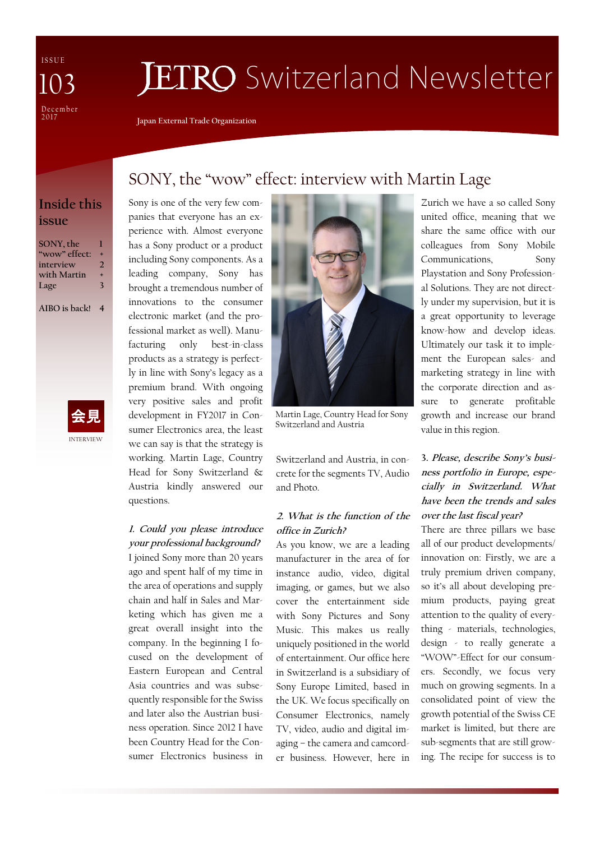I S S U E December<br>2017 103

# **JETRO** Switzerland Newsletter

SONY, the "wow" effect: interview with Martin Lage

**Japan External Trade Organization**

Sony is one of the very few com-

## **Inside this issue**

| SONY, the     | п |
|---------------|---|
| "wow" effect: | ٠ |
| interview     | 7 |
| with Martin   | ٠ |
| Lage          | 3 |

**AIBO is back! 4**



panies that everyone has an experience with. Almost everyone has a Sony product or a product including Sony components. As a leading company, Sony has brought a tremendous number of innovations to the consumer electronic market (and the professional market as well). Manufacturing only best-in-class products as a strategy is perfectly in line with Sony's legacy as a premium brand. With ongoing very positive sales and profit development in FY2017 in Consumer Electronics area, the least we can say is that the strategy is working. Martin Lage, Country Head for Sony Switzerland & Austria kindly answered our

## **1. Could you please introduce your professional background?**

questions.

I joined Sony more than 20 years ago and spent half of my time in the area of operations and supply chain and half in Sales and Marketing which has given me a great overall insight into the company. In the beginning I focused on the development of Eastern European and Central Asia countries and was subsequently responsible for the Swiss and later also the Austrian business operation. Since 2012 I have been Country Head for the Consumer Electronics business in



Martin Lage, Country Head for Sony Switzerland and Austria

Switzerland and Austria, in concrete for the segments TV, Audio and Photo.

#### **2. What is the function of the office in Zurich?**

As you know, we are a leading manufacturer in the area of for instance audio, video, digital imaging, or games, but we also cover the entertainment side with Sony Pictures and Sony Music. This makes us really uniquely positioned in the world of entertainment. Our office here in Switzerland is a subsidiary of Sony Europe Limited, based in the UK. We focus specifically on Consumer Electronics, namely TV, video, audio and digital imaging – the camera and camcorder business. However, here in

Zurich we have a so called Sony united office, meaning that we share the same office with our colleagues from Sony Mobile Communications, Sony Playstation and Sony Professional Solutions. They are not directly under my supervision, but it is a great opportunity to leverage know-how and develop ideas. Ultimately our task it to implement the European sales- and marketing strategy in line with the corporate direction and assure to generate profitable growth and increase our brand value in this region.

## **3. Please, describe Sony's business portfolio in Europe, especially in Switzerland. What have been the trends and sales over the last fiscal year?**

There are three pillars we base all of our product developments/ innovation on: Firstly, we are a truly premium driven company, so it's all about developing premium products, paying great attention to the quality of everything - materials, technologies, design - to really generate a "WOW"-Effect for our consumers. Secondly, we focus very much on growing segments. In a consolidated point of view the growth potential of the Swiss CE market is limited, but there are sub-segments that are still growing. The recipe for success is to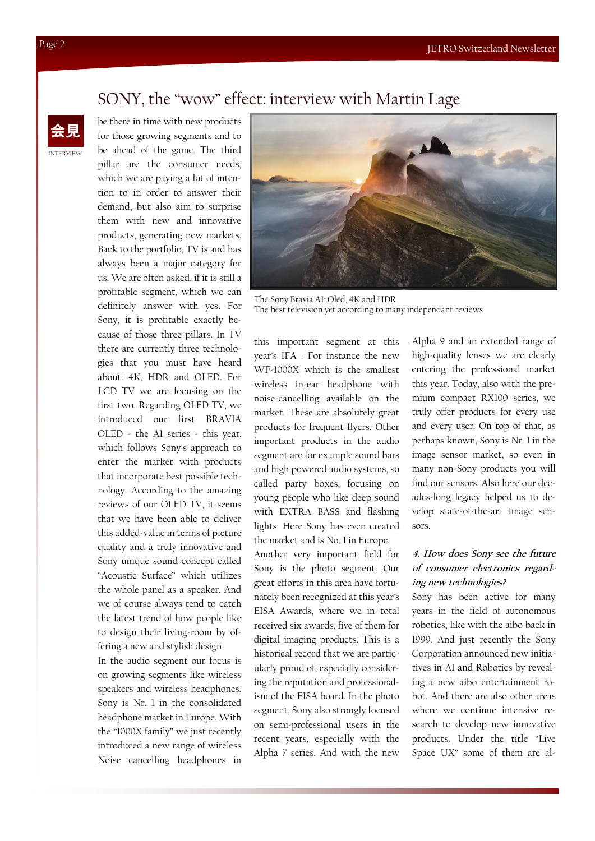## SONY, the "wow" effect: interview with Martin Lage

be there in time with new products for those growing segments and to be ahead of the game. The third pillar are the consumer needs, which we are paying a lot of intention to in order to answer their demand, but also aim to surprise them with new and innovative products, generating new markets. Back to the portfolio, TV is and has always been a major category for us. We are often asked, if it is still a profitable segment, which we can definitely answer with yes. For Sony, it is profitable exactly because of those three pillars. In TV there are currently three technologies that you must have heard about: 4K, HDR and OLED. For LCD TV we are focusing on the first two. Regarding OLED TV, we introduced our first BRAVIA OLED - the A1 series - this year, which follows Sony's approach to enter the market with products that incorporate best possible technology. According to the amazing reviews of our OLED TV, it seems that we have been able to deliver this added-value in terms of picture quality and a truly innovative and Sony unique sound concept called "Acoustic Surface" which utilizes the whole panel as a speaker. And we of course always tend to catch the latest trend of how people like to design their living-room by offering a new and stylish design.

In the audio segment our focus is on growing segments like wireless speakers and wireless headphones. Sony is Nr. 1 in the consolidated headphone market in Europe. With the "1000X family" we just recently introduced a new range of wireless Noise cancelling headphones in



The Sony Bravia A1: Oled, 4K and HDR The best television yet according to many independant reviews

this important segment at this year's IFA . For instance the new WF-1000X which is the smallest wireless in-ear headphone with noise-cancelling available on the market. These are absolutely great products for frequent flyers. Other important products in the audio segment are for example sound bars and high powered audio systems, so called party boxes, focusing on young people who like deep sound with EXTRA BASS and flashing lights. Here Sony has even created the market and is No. 1 in Europe.

Another very important field for Sony is the photo segment. Our great efforts in this area have fortunately been recognized at this year's EISA Awards, where we in total received six awards, five of them for digital imaging products. This is a historical record that we are particularly proud of, especially considering the reputation and professionalism of the EISA board. In the photo segment, Sony also strongly focused on semi-professional users in the recent years, especially with the Alpha 7 series. And with the new

Alpha 9 and an extended range of high-quality lenses we are clearly entering the professional market this year. Today, also with the premium compact RX100 series, we truly offer products for every use and every user. On top of that, as perhaps known, Sony is Nr. 1 in the image sensor market, so even in many non-Sony products you will find our sensors. Also here our decades-long legacy helped us to develop state-of-the-art image sensors.

### **4. How does Sony see the future of consumer electronics regarding new technologies?**

Sony has been active for many years in the field of autonomous robotics, like with the aibo back in 1999. And just recently the Sony Corporation announced new initiatives in AI and Robotics by revealing a new aibo entertainment robot. And there are also other areas where we continue intensive research to develop new innovative products. Under the title "Live Space UX" some of them are al-

INTERVIEW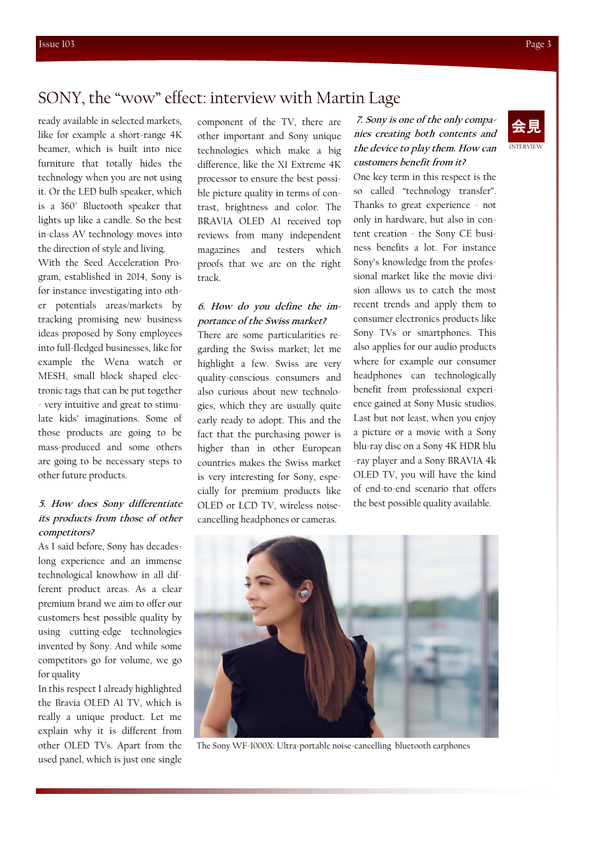## SONY, the "wow" effect: interview with Martin Lage

ready available in selected markets, like for example a short-range 4K beamer, which is built into nice furniture that totally hides the technology when you are not using it. Or the LED bulb speaker, which is a 360° Bluetooth speaker that lights up like a candle. So the best in-class AV technology moves into the direction of style and living.

With the Seed Acceleration Program, established in 2014, Sony is for instance investigating into other potentials areas/markets by tracking promising new business ideas proposed by Sony employees into full-fledged businesses, like for example the Wena watch or MESH, small block shaped electronic tags that can be put together - very intuitive and great to stimulate kids' imaginations. Some of those products are going to be mass-produced and some others are going to be necessary steps to other future products.

#### **5. How does Sony differentiate its products from those of other competitors?**

As I said before, Sony has decadeslong experience and an immense technological knowhow in all different product areas. As a clear premium brand we aim to offer our customers best possible quality by using cutting-edge technologies invented by Sony. And while some competitors go for volume, we go for quality

In this respect I already highlighted the Bravia OLED A1 TV, which is really a unique product. Let me explain why it is different from other OLED TVs. Apart from the used panel, which is just one single

component of the TV, there are other important and Sony unique technologies which make a big difference, like the X1 Extreme 4K processor to ensure the best possible picture quality in terms of contrast, brightness and color. The BRAVIA OLED A1 received top reviews from many independent magazines and testers which proofs that we are on the right track.

#### **6. How do you define the importance of the Swiss market?**

There are some particularities regarding the Swiss market; let me highlight a few. Swiss are very quality-conscious consumers and also curious about new technologies, which they are usually quite early ready to adopt. This and the fact that the purchasing power is higher than in other European countries makes the Swiss market is very interesting for Sony, especially for premium products like OLED or LCD TV, wireless noisecancelling headphones or cameras.

**7. Sony is one of the only companies creating both contents and the device to play them. How can customers benefit from it?** 

One key term in this respect is the so called "technology transfer". Thanks to great experience - not only in hardware, but also in content creation - the Sony CE business benefits a lot. For instance Sony's knowledge from the professional market like the movie division allows us to catch the most recent trends and apply them to consumer electronics products like Sony TVs or smartphones. This also applies for our audio products where for example our consumer headphones can technologically benefit from professional experience gained at Sony Music studios. Last but not least, when you enjoy a picture or a movie with a Sony blu-ray disc on a Sony 4K HDR blu -ray player and a Sony BRAVIA 4k OLED TV, you will have the kind of end-to-end scenario that offers the best possible quality available.



The Sony WF-1000X: Ultra-portable noise-cancelling bluetooth earphones